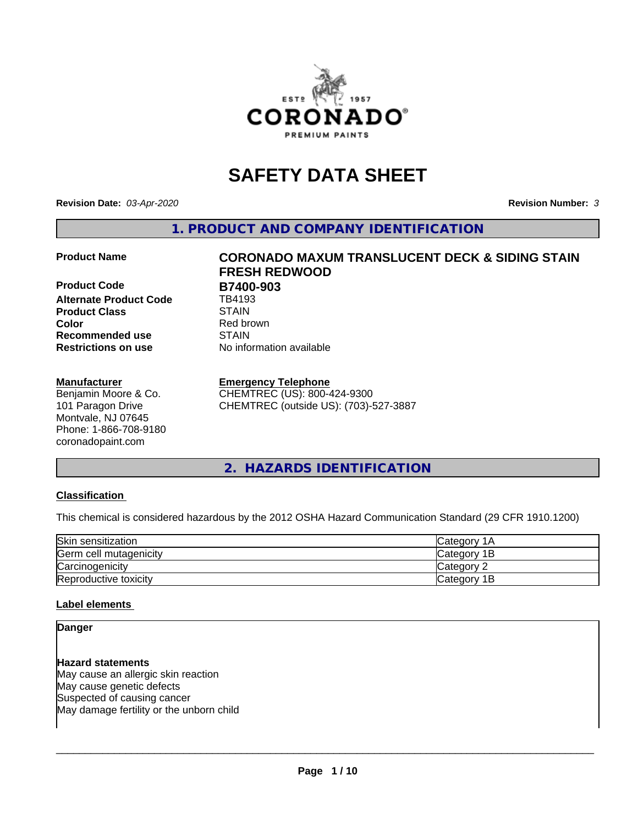

# **SAFETY DATA SHEET**

**Revision Date:** *03-Apr-2020* **Revision Number:** *3*

**1. PRODUCT AND COMPANY IDENTIFICATION**

**Product Code B7400-903**<br> **Alternate Product Code B4193 Alternate Product Code Product Class** STAIN<br> **Color** Red bro **Recommended use STAIN Restrictions on use** No information available

#### **Manufacturer**

Benjamin Moore & Co. 101 Paragon Drive Montvale, NJ 07645 Phone: 1-866-708-9180 coronadopaint.com

# **Product Name CORONADO MAXUM TRANSLUCENT DECK & SIDING STAIN FRESH REDWOOD Red brown**

#### **Emergency Telephone**

CHEMTREC (US): 800-424-9300 CHEMTREC (outside US): (703)-527-3887

#### **2. HAZARDS IDENTIFICATION**

#### **Classification**

This chemical is considered hazardous by the 2012 OSHA Hazard Communication Standard (29 CFR 1910.1200)

| Skin sensitization     | Category 1A  |
|------------------------|--------------|
| Germ cell mutagenicity | Category 1B  |
| Carcinogenicity        | Category 2   |
| Reproductive toxicity  | lCategory 1B |

#### **Label elements**

#### **Danger**

**Hazard statements** May cause an allergic skin reaction May cause genetic defects Suspected of causing cancer May damage fertility or the unborn child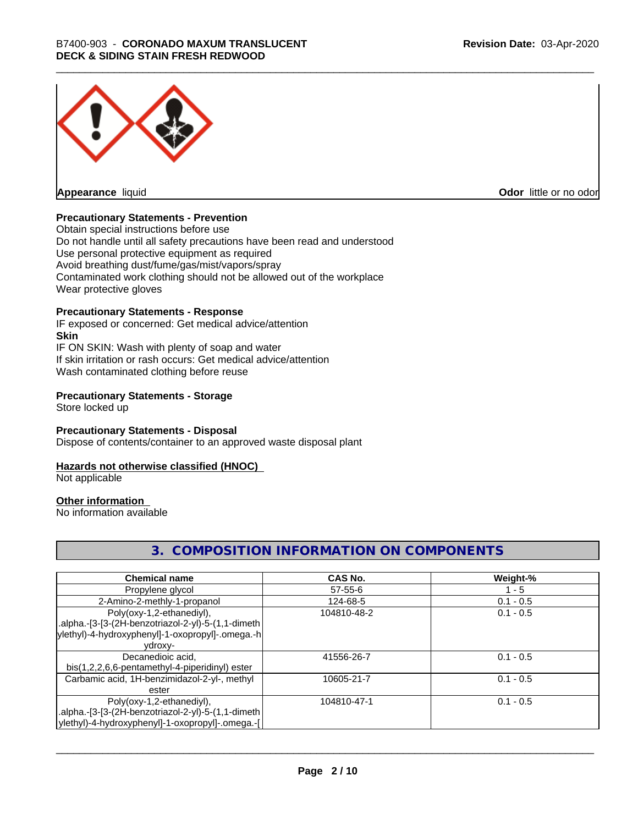

**Appearance** liquid

**Odor** little or no odor

#### **Precautionary Statements - Prevention**

Obtain special instructions before use Do not handle until all safety precautions have been read and understood Use personal protective equipment as required Avoid breathing dust/fume/gas/mist/vapors/spray Contaminated work clothing should not be allowed out of the workplace Wear protective gloves

#### **Precautionary Statements - Response**

IF exposed or concerned: Get medical advice/attention **Skin** IF ON SKIN: Wash with plenty of soap and water If skin irritation or rash occurs: Get medical advice/attention Wash contaminated clothing before reuse

#### **Precautionary Statements - Storage**

Store locked up

#### **Precautionary Statements - Disposal**

Dispose of contents/container to an approved waste disposal plant

#### **Hazards not otherwise classified (HNOC)**

Not applicable

#### **Other information**

No information available

#### **3. COMPOSITION INFORMATION ON COMPONENTS**

| <b>Chemical name</b>                               | CAS No.       | Weight-%    |
|----------------------------------------------------|---------------|-------------|
| Propylene glycol                                   | $57 - 55 - 6$ | $1 - 5$     |
| 2-Amino-2-methly-1-propanol                        | 124-68-5      | $0.1 - 0.5$ |
| Poly(oxy-1,2-ethanediyl),                          | 104810-48-2   | $0.1 - 0.5$ |
| .alpha.-[3-[3-(2H-benzotriazol-2-yl)-5-(1,1-dimeth |               |             |
| ylethyl)-4-hydroxyphenyl]-1-oxopropyl]-.omega.-h   |               |             |
| ydroxy-                                            |               |             |
| Decanedioic acid,                                  | 41556-26-7    | $0.1 - 0.5$ |
| bis(1,2,2,6,6-pentamethyl-4-piperidinyl) ester     |               |             |
| Carbamic acid, 1H-benzimidazol-2-yl-, methyl       | 10605-21-7    | $0.1 - 0.5$ |
| ester                                              |               |             |
| Poly(oxy-1,2-ethanediyl),                          | 104810-47-1   | $0.1 - 0.5$ |
| .alpha.-[3-[3-(2H-benzotriazol-2-yl)-5-(1,1-dimeth |               |             |
| ylethyl)-4-hydroxyphenyl]-1-oxopropyl]-.omega.-[   |               |             |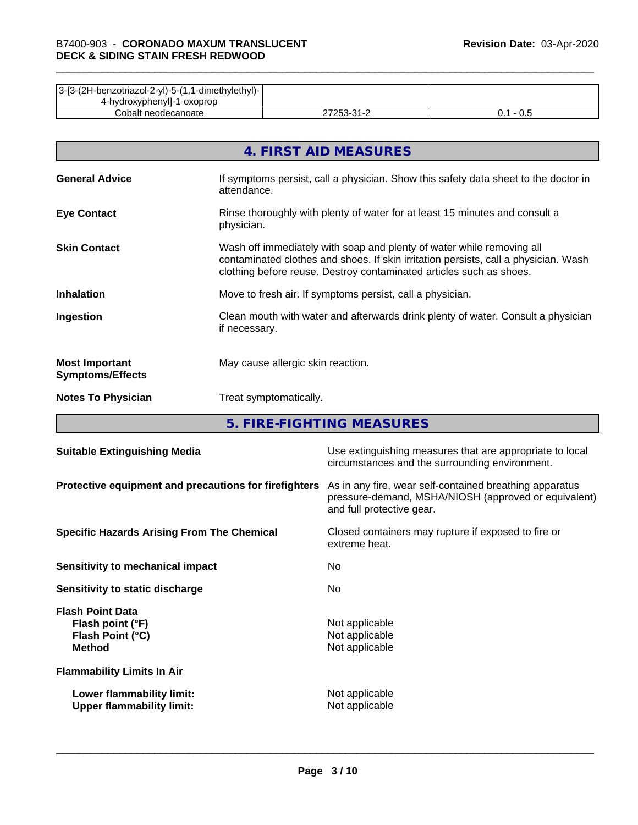| 3-[3-(2H-benzotriazol-2-yl)-5-(1,1-dimethylethyl)- |                           |     |
|----------------------------------------------------|---------------------------|-----|
| 4-hydroxyphenyll-1-oxoprop                         |                           |     |
| Cobalt neodecanoate                                | ר בר<br>ີາ<br><u> - 1</u> | v.J |

|                                                  | 4. FIRST AID MEASURES                                                                                                                                                                                                               |
|--------------------------------------------------|-------------------------------------------------------------------------------------------------------------------------------------------------------------------------------------------------------------------------------------|
| <b>General Advice</b>                            | If symptoms persist, call a physician. Show this safety data sheet to the doctor in<br>attendance.                                                                                                                                  |
| <b>Eye Contact</b>                               | Rinse thoroughly with plenty of water for at least 15 minutes and consult a<br>physician.                                                                                                                                           |
| <b>Skin Contact</b>                              | Wash off immediately with soap and plenty of water while removing all<br>contaminated clothes and shoes. If skin irritation persists, call a physician. Wash<br>clothing before reuse. Destroy contaminated articles such as shoes. |
| <b>Inhalation</b>                                | Move to fresh air. If symptoms persist, call a physician.                                                                                                                                                                           |
| Ingestion                                        | Clean mouth with water and afterwards drink plenty of water. Consult a physician<br>if necessary.                                                                                                                                   |
| <b>Most Important</b><br><b>Symptoms/Effects</b> | May cause allergic skin reaction.                                                                                                                                                                                                   |
| <b>Notes To Physician</b>                        | Treat symptomatically.                                                                                                                                                                                                              |

**5. FIRE-FIGHTING MEASURES**

| <b>Suitable Extinguishing Media</b>                                              | Use extinguishing measures that are appropriate to local<br>circumstances and the surrounding environment.                                   |
|----------------------------------------------------------------------------------|----------------------------------------------------------------------------------------------------------------------------------------------|
| Protective equipment and precautions for firefighters                            | As in any fire, wear self-contained breathing apparatus<br>pressure-demand, MSHA/NIOSH (approved or equivalent)<br>and full protective gear. |
| <b>Specific Hazards Arising From The Chemical</b>                                | Closed containers may rupture if exposed to fire or<br>extreme heat.                                                                         |
| Sensitivity to mechanical impact                                                 | No.                                                                                                                                          |
| Sensitivity to static discharge                                                  | No.                                                                                                                                          |
| <b>Flash Point Data</b><br>Flash point (°F)<br>Flash Point (°C)<br><b>Method</b> | Not applicable<br>Not applicable<br>Not applicable                                                                                           |
| <b>Flammability Limits In Air</b>                                                |                                                                                                                                              |
| Lower flammability limit:<br><b>Upper flammability limit:</b>                    | Not applicable<br>Not applicable                                                                                                             |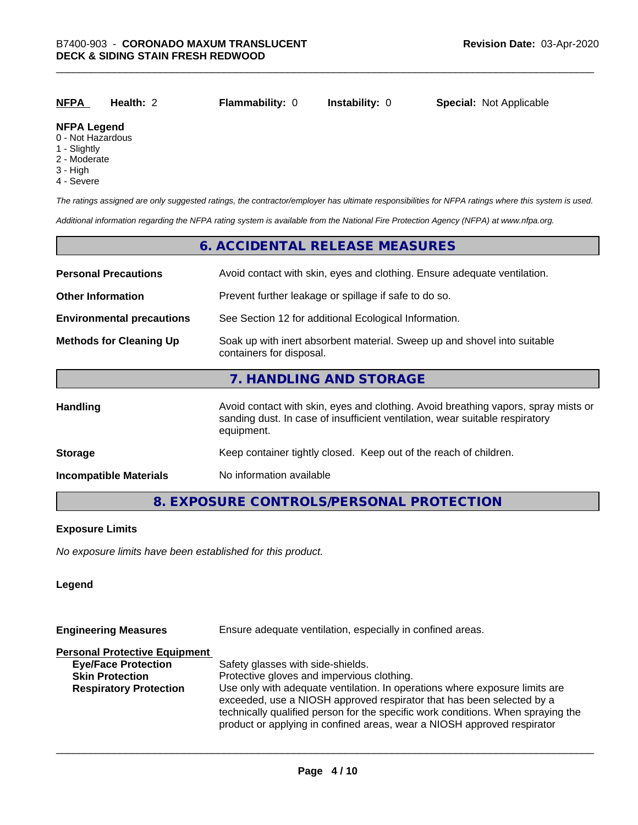| <u>NFPA</u>          | Health: 2 | <b>Flammability: 0</b> | <b>Instability: 0</b> | <b>Special: Not Applicable</b> |
|----------------------|-----------|------------------------|-----------------------|--------------------------------|
| <b>NIFRA LANGARI</b> |           |                        |                       |                                |

#### **NFPA Legend**

- 0 Not Hazardous
- 1 Slightly
- 2 Moderate
- 3 High
- 4 Severe

*The ratings assigned are only suggested ratings, the contractor/employer has ultimate responsibilities for NFPA ratings where this system is used.*

*Additional information regarding the NFPA rating system is available from the National Fire Protection Agency (NFPA) at www.nfpa.org.*

#### **6. ACCIDENTAL RELEASE MEASURES**

| <b>Personal Precautions</b>      | Avoid contact with skin, eyes and clothing. Ensure adequate ventilation.                                                                                                         |
|----------------------------------|----------------------------------------------------------------------------------------------------------------------------------------------------------------------------------|
| <b>Other Information</b>         | Prevent further leakage or spillage if safe to do so.                                                                                                                            |
| <b>Environmental precautions</b> | See Section 12 for additional Ecological Information.                                                                                                                            |
| <b>Methods for Cleaning Up</b>   | Soak up with inert absorbent material. Sweep up and shovel into suitable<br>containers for disposal.                                                                             |
|                                  | 7. HANDLING AND STORAGE                                                                                                                                                          |
| Handling                         | Avoid contact with skin, eyes and clothing. Avoid breathing vapors, spray mists or<br>sanding dust. In case of insufficient ventilation, wear suitable respiratory<br>equipment. |
| <b>Storage</b>                   | Keep container tightly closed. Keep out of the reach of children.                                                                                                                |
| <b>Incompatible Materials</b>    | No information available                                                                                                                                                         |

#### **8. EXPOSURE CONTROLS/PERSONAL PROTECTION**

#### **Exposure Limits**

*No exposure limits have been established for this product.*

#### **Legend**

| Ensure adequate ventilation, especially in confined areas.<br><b>Engineering Measures</b>                                                                                                                                                                                                                           |  |  |
|---------------------------------------------------------------------------------------------------------------------------------------------------------------------------------------------------------------------------------------------------------------------------------------------------------------------|--|--|
|                                                                                                                                                                                                                                                                                                                     |  |  |
| Safety glasses with side-shields.                                                                                                                                                                                                                                                                                   |  |  |
| Protective gloves and impervious clothing.                                                                                                                                                                                                                                                                          |  |  |
| Use only with adequate ventilation. In operations where exposure limits are<br>exceeded, use a NIOSH approved respirator that has been selected by a<br>technically qualified person for the specific work conditions. When spraying the<br>product or applying in confined areas, wear a NIOSH approved respirator |  |  |
|                                                                                                                                                                                                                                                                                                                     |  |  |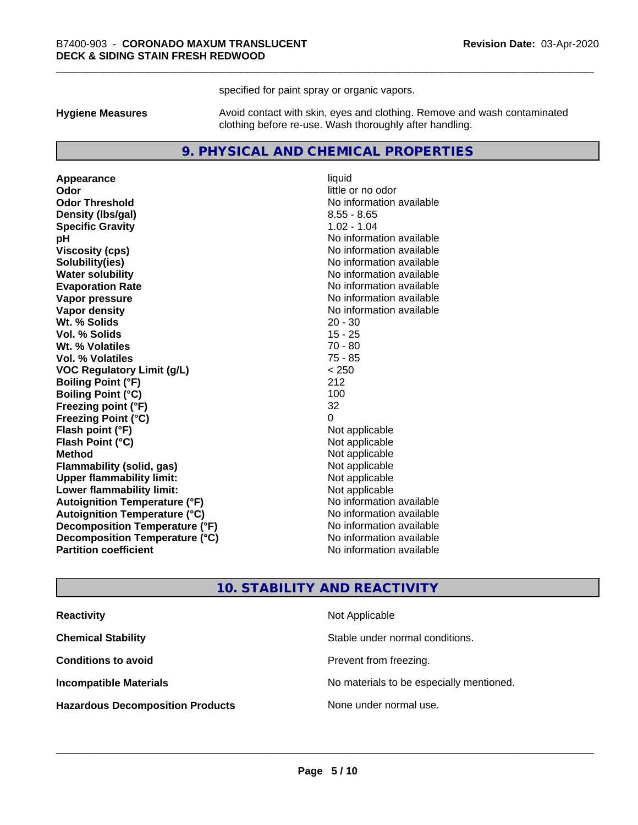specified for paint spray or organic vapors.

**Hygiene Measures** Avoid contact with skin, eyes and clothing. Remove and wash contaminated clothing before re-use. Wash thoroughly after handling.

#### **9. PHYSICAL AND CHEMICAL PROPERTIES**

**Appearance** liquid **Odor** little or no odor **Odor Threshold** No information available **Density (Ibs/gal)** 8.55 - 8.65 **Specific Gravity** 1.02 - 1.04 **pH** No information available **Viscosity (cps)** No information available **Solubility(ies)** No information available **Evaporation Rate No information available No information available Vapor pressure** No information available **Vapor density No information available No** information available **Wt. % Solids** 20 - 30 **Vol. % Solids** 15 - 25 **Wt. % Volatiles** 70 - 80 **Vol. % Volatiles** 75 - 85 **VOC Regulatory Limit (g/L)** < 250 **Boiling Point (°F)** 212 **Boiling Point (°C)** 100 **Freezing point (°F)** 32 **Freezing Point (°C)**<br> **Flash point (°F)**<br> **Flash point (°F)**<br> **Point (°F)**<br> **Point (°F)**<br> **Point (°F)**<br> **Point (°F)**<br> **Point (°F) Flash point (°F)**<br> **Flash Point (°C)**<br> **Flash Point (°C)**<br> **C Flash Point (°C) Method** Not applicable **Flammability (solid, gas)** Not applicable<br> **Upper flammability limit:** Not applicable **Upper flammability limit: Lower flammability limit:** Not applicable **Autoignition Temperature (°F)** No information available **Autoignition Temperature (°C)** No information available **Decomposition Temperature (°F)** No information available **Decomposition Temperature (°C)** No information available **Partition coefficient Contract Contract Contract Contract Contract Contract Contract Contract Contract Contract Contract Contract Contract Contract Contract Contract Contract Contract Contract Contract Contract Contract** 

**No information available** 

#### **10. STABILITY AND REACTIVITY**

| <b>Reactivity</b>                       | Not Applicable                           |
|-----------------------------------------|------------------------------------------|
| <b>Chemical Stability</b>               | Stable under normal conditions.          |
| <b>Conditions to avoid</b>              | Prevent from freezing.                   |
| <b>Incompatible Materials</b>           | No materials to be especially mentioned. |
| <b>Hazardous Decomposition Products</b> | None under normal use.                   |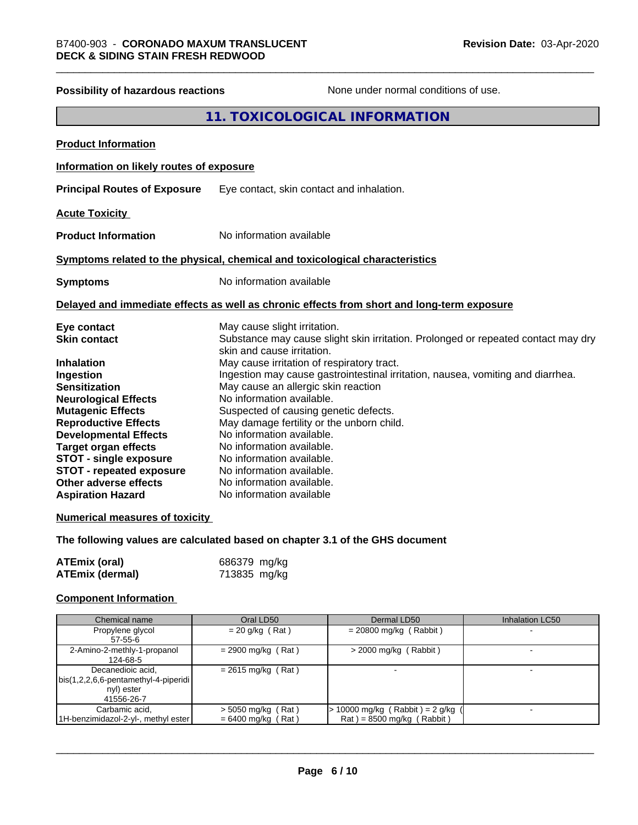## **Possibility of hazardous reactions** None under normal conditions of use. **11. TOXICOLOGICAL INFORMATION Product Information Information on likely routes of exposure Principal Routes of Exposure** Eye contact, skin contact and inhalation. **Acute Toxicity Product Information** No information available **Symptoms related to the physical,chemical and toxicological characteristics Symptoms** No information available **Delayed and immediate effects as well as chronic effects from short and long-term exposure Eye contact** May cause slight irritation. **Skin contact** Substance may cause slight skin irritation. Prolonged or repeated contact may dry skin and cause irritation. **Inhalation** May cause irritation of respiratory tract. **Ingestion Ingestion may cause gastrointestinal irritation**, nausea, vomiting and diarrhea. **Sensitization** May cause an allergic skin reaction **Neurological Effects** No information available. **Mutagenic Effects** Suspected of causing genetic defects. **Reproductive Effects** May damage fertility or the unborn child. **Developmental Effects** No information available.<br> **Target organ effects** No information available **Target organ effects** No information available.<br> **STOT - single exposure** No information available. **STOT** - single exposure **STOT** - **repeated exposure** No information available. **Other adverse effects** No information available. **Aspiration Hazard** No information available **Numerical measures of toxicity The following values are calculated based on chapter 3.1 of the GHS document**

| ATEmix (oral)          | 686379 mg/kg |
|------------------------|--------------|
| <b>ATEmix (dermal)</b> | 713835 mg/kg |

#### **Component Information**

| Chemical name                        | Oral LD50            | Dermal LD50                         | <b>Inhalation LC50</b> |
|--------------------------------------|----------------------|-------------------------------------|------------------------|
| Propylene glycol                     | $= 20$ g/kg (Rat)    | $= 20800$ mg/kg (Rabbit)            |                        |
| $57 - 55 - 6$                        |                      |                                     |                        |
| 2-Amino-2-methly-1-propanol          | $= 2900$ mg/kg (Rat) | $>$ 2000 mg/kg (Rabbit)             |                        |
| 124-68-5                             |                      |                                     |                        |
| Decanedioic acid,                    | $= 2615$ mg/kg (Rat) |                                     |                        |
| bis(1,2,2,6,6-pentamethyl-4-piperidi |                      |                                     |                        |
| nyl) ester                           |                      |                                     |                        |
| 41556-26-7                           |                      |                                     |                        |
| Carbamic acid,                       | $>$ 5050 mg/kg (Rat) | $> 10000$ mg/kg (Rabbit) = 2 g/kg ( |                        |
| 1H-benzimidazol-2-yl-, methyl ester  | $= 6400$ mg/kg (Rat) | $Rat$ = 8500 mg/kg (Rabbit)         |                        |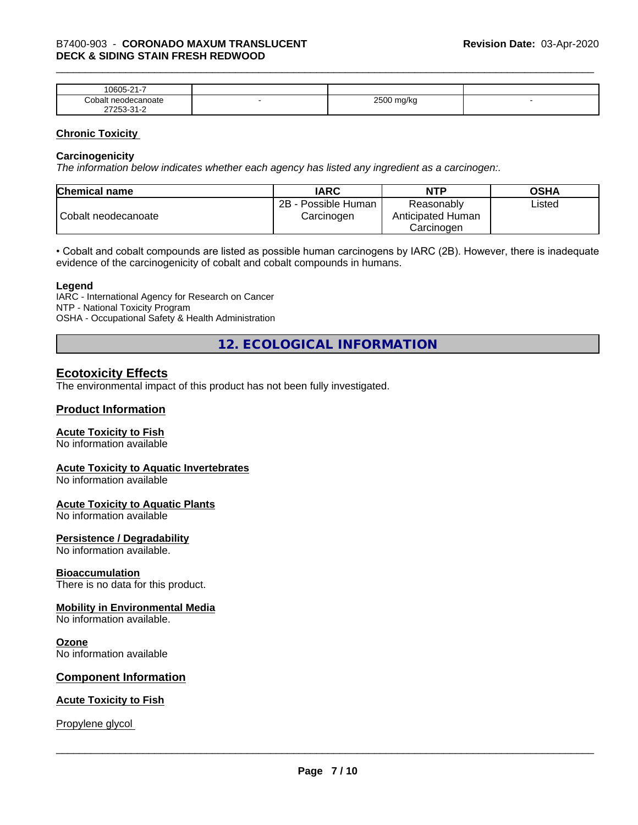| $\sim$<br>$\sim$ $\sim$ $\sim$<br>-<br>۱۲۱۱۰<br>.<br>. .           |   |                        |  |
|--------------------------------------------------------------------|---|------------------------|--|
| `∩h⊾<br>าoate                                                      | - | 0.500<br>W<br>- -<br>ີ |  |
| $\sim$<br>- ה<br>$ -$<br>$\sim$ $\sim$ $\sim$ $\sim$ $\sim$ $\sim$ |   |                        |  |

#### **Chronic Toxicity**

#### **Carcinogenicity**

*The information below indicateswhether each agency has listed any ingredient as a carcinogen:.*

| <b>Chemical name</b> | <b>IARC</b>                          | <b>NTP</b>                                    | <b>OSHA</b> |
|----------------------|--------------------------------------|-----------------------------------------------|-------------|
| Cobalt neodecanoate  | 2B<br>- Possible Human<br>Carcinogen | Reasonably<br>Anticipated Human<br>Carcinoɑen | ∟isted      |

• Cobalt and cobalt compounds are listed as possible human carcinogens by IARC (2B). However, there is inadequate evidence of the carcinogenicity of cobalt and cobalt compounds in humans.

#### **Legend**

IARC - International Agency for Research on Cancer NTP - National Toxicity Program OSHA - Occupational Safety & Health Administration

**12. ECOLOGICAL INFORMATION**

#### **Ecotoxicity Effects**

The environmental impact of this product has not been fully investigated.

#### **Product Information**

#### **Acute Toxicity to Fish**

No information available

#### **Acute Toxicity to Aquatic Invertebrates**

No information available

#### **Acute Toxicity to Aquatic Plants**

No information available

#### **Persistence / Degradability**

No information available.

#### **Bioaccumulation**

There is no data for this product.

#### **Mobility in Environmental Media**

No information available.

#### **Ozone**

No information available

#### **Component Information**

#### **Acute Toxicity to Fish**

Propylene glycol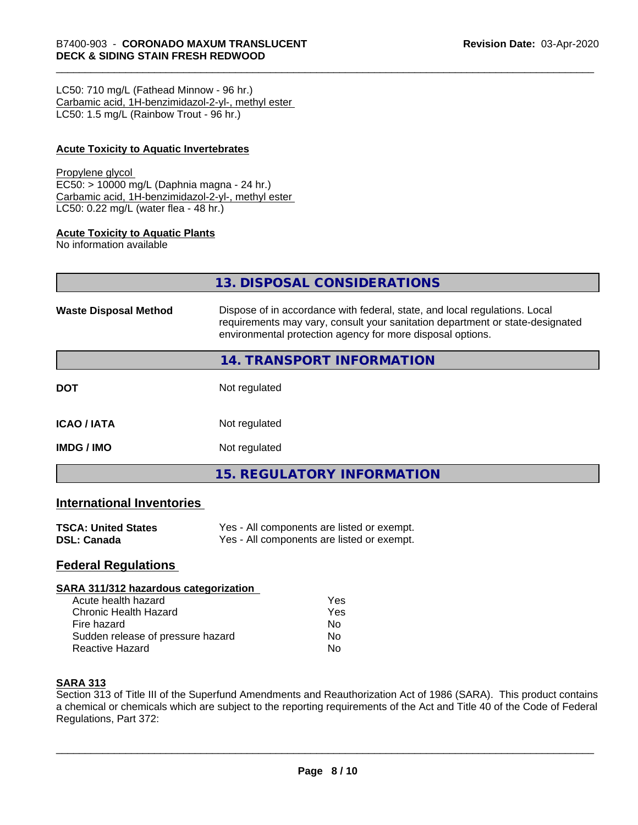LC50: 710 mg/L (Fathead Minnow - 96 hr.) Carbamic acid, 1H-benzimidazol-2-yl-, methyl ester LC50: 1.5 mg/L (Rainbow Trout - 96 hr.)

#### **Acute Toxicity to Aquatic Invertebrates**

#### Propylene glycol

EC50: > 10000 mg/L (Daphnia magna - 24 hr.) Carbamic acid, 1H-benzimidazol-2-yl-, methyl ester LC50: 0.22 mg/L (water flea - 48 hr.)

#### **Acute Toxicity to Aquatic Plants**

No information available

|                              | 13. DISPOSAL CONSIDERATIONS                                                                                                                                                                                               |
|------------------------------|---------------------------------------------------------------------------------------------------------------------------------------------------------------------------------------------------------------------------|
| <b>Waste Disposal Method</b> | Dispose of in accordance with federal, state, and local regulations. Local<br>requirements may vary, consult your sanitation department or state-designated<br>environmental protection agency for more disposal options. |
|                              | <b>14. TRANSPORT INFORMATION</b>                                                                                                                                                                                          |
| <b>DOT</b>                   | Not regulated                                                                                                                                                                                                             |
| <b>ICAO / IATA</b>           | Not regulated                                                                                                                                                                                                             |
| IMDG / IMO                   | Not regulated                                                                                                                                                                                                             |
|                              | <b>15. REGULATORY INFORMATION</b>                                                                                                                                                                                         |

#### **International Inventories**

| <b>TSCA: United States</b> | Yes - All components are listed or exempt. |
|----------------------------|--------------------------------------------|
| DSL: Canada                | Yes - All components are listed or exempt. |

#### **Federal Regulations**

#### **SARA 311/312 hazardous categorization**

| Acute health hazard               | Yes |  |
|-----------------------------------|-----|--|
| Chronic Health Hazard             | Yes |  |
| Fire hazard                       | N٥  |  |
| Sudden release of pressure hazard | N٥  |  |
| <b>Reactive Hazard</b>            | N٥  |  |

#### **SARA 313**

Section 313 of Title III of the Superfund Amendments and Reauthorization Act of 1986 (SARA). This product contains a chemical or chemicals which are subject to the reporting requirements of the Act and Title 40 of the Code of Federal Regulations, Part 372: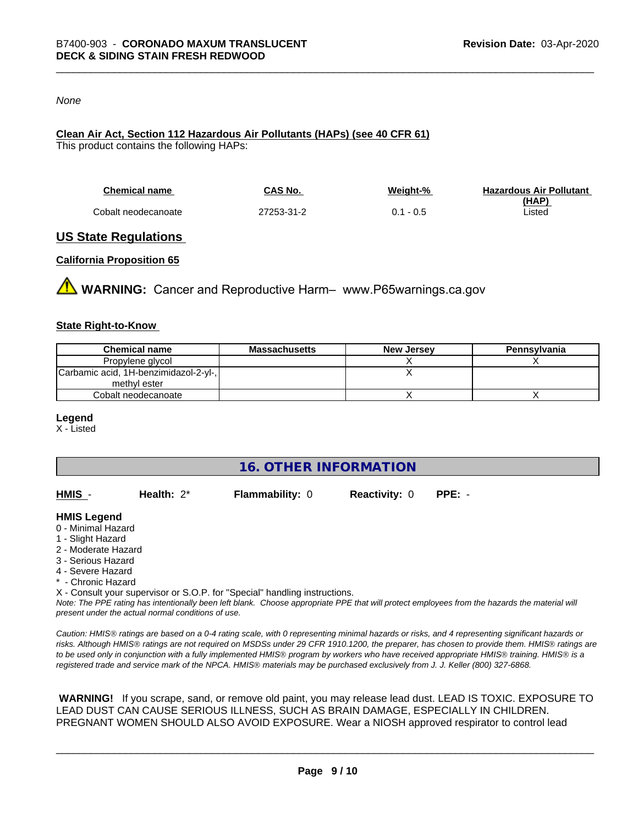#### *None*

### **Clean Air Act,Section 112 Hazardous Air Pollutants (HAPs) (see 40 CFR 61)**

This product contains the following HAPs:

| <b>Chemical name</b> | CAS No.    | Weight-%    | <b>Hazardous Air Pollutant</b> |
|----------------------|------------|-------------|--------------------------------|
|                      |            |             | (HAP)                          |
| Cobalt neodecanoate  | 27253-31-2 | $0.1 - 0.5$ | Listed                         |

#### **US State Regulations**

#### **California Proposition 65**

**WARNING:** Cancer and Reproductive Harm– www.P65warnings.ca.gov

#### **State Right-to-Know**

| <b>Chemical name</b>                  | <b>Massachusetts</b> | <b>New Jersey</b> | Pennsylvania |
|---------------------------------------|----------------------|-------------------|--------------|
| Propylene glycol                      |                      |                   |              |
| Carbamic acid, 1H-benzimidazol-2-yl-, |                      |                   |              |
| methyl ester                          |                      |                   |              |
| Cobalt neodecanoate                   |                      |                   |              |

#### **Legend**

X - Listed

**16. OTHER INFORMATION**

| HMIS | Health: $2^*$ | <b>Flammability: 0</b> | <b>Reactivity: 0</b> | PPE: - |
|------|---------------|------------------------|----------------------|--------|
|      |               |                        |                      |        |

#### **HMIS Legend**

- 0 Minimal Hazard
- 1 Slight Hazard
- 2 Moderate Hazard
- 3 Serious Hazard
- 4 Severe Hazard
- \* Chronic Hazard
- X Consult your supervisor or S.O.P. for "Special" handling instructions.

*Note: The PPE rating has intentionally been left blank. Choose appropriate PPE that will protect employees from the hazards the material will present under the actual normal conditions of use.*

*Caution: HMISÒ ratings are based on a 0-4 rating scale, with 0 representing minimal hazards or risks, and 4 representing significant hazards or risks. Although HMISÒ ratings are not required on MSDSs under 29 CFR 1910.1200, the preparer, has chosen to provide them. HMISÒ ratings are to be used only in conjunction with a fully implemented HMISÒ program by workers who have received appropriate HMISÒ training. HMISÒ is a registered trade and service mark of the NPCA. HMISÒ materials may be purchased exclusively from J. J. Keller (800) 327-6868.*

 **WARNING!** If you scrape, sand, or remove old paint, you may release lead dust. LEAD IS TOXIC. EXPOSURE TO LEAD DUST CAN CAUSE SERIOUS ILLNESS, SUCH AS BRAIN DAMAGE, ESPECIALLY IN CHILDREN. PREGNANT WOMEN SHOULD ALSO AVOID EXPOSURE.Wear a NIOSH approved respirator to control lead